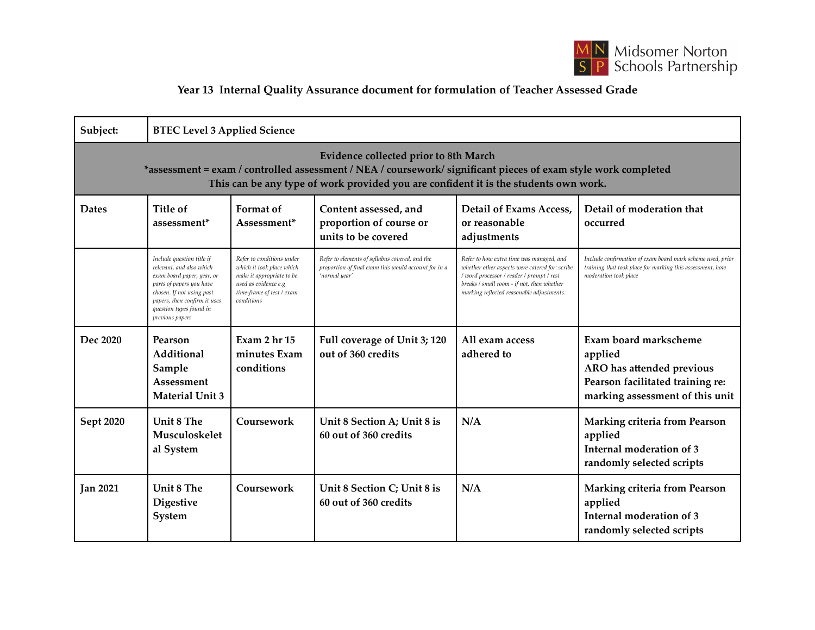

## **Year 13 Internal Quality Assurance document for formulation of Teacher Assessed Grade**

| Subject:                                                                                                                                                                                                                                               | <b>BTEC Level 3 Applied Science</b>                                                                                                                                                                                        |                                                                                                                                                        |                                                                                                                         |                                                                                                                                                                                                                                    |                                                                                                                                                  |  |  |  |  |
|--------------------------------------------------------------------------------------------------------------------------------------------------------------------------------------------------------------------------------------------------------|----------------------------------------------------------------------------------------------------------------------------------------------------------------------------------------------------------------------------|--------------------------------------------------------------------------------------------------------------------------------------------------------|-------------------------------------------------------------------------------------------------------------------------|------------------------------------------------------------------------------------------------------------------------------------------------------------------------------------------------------------------------------------|--------------------------------------------------------------------------------------------------------------------------------------------------|--|--|--|--|
| <b>Evidence collected prior to 8th March</b><br>*assessment = exam / controlled assessment / NEA / coursework/ significant pieces of exam style work completed<br>This can be any type of work provided you are confident it is the students own work. |                                                                                                                                                                                                                            |                                                                                                                                                        |                                                                                                                         |                                                                                                                                                                                                                                    |                                                                                                                                                  |  |  |  |  |
| <b>Dates</b>                                                                                                                                                                                                                                           | Title of<br>assessment <sup>*</sup>                                                                                                                                                                                        | Format of<br>Assessment*                                                                                                                               | Content assessed, and<br>proportion of course or<br>units to be covered                                                 | <b>Detail of Exams Access,</b><br>or reasonable<br>adjustments                                                                                                                                                                     | Detail of moderation that<br>occurred                                                                                                            |  |  |  |  |
|                                                                                                                                                                                                                                                        | Include question title if<br>relevant, and also which<br>exam board paper, year, or<br>parts of papers you have<br>chosen. If not using past<br>papers, then confirm it uses<br>question types found in<br>previous papers | Refer to conditions under<br>which it took place which<br>make it appropriate to be<br>used as evidence e.g<br>time-frame of test / exam<br>conditions | Refer to elements of syllabus covered, and the<br>proportion of final exam this would account for in a<br>'normal year' | Refer to how extra time was managed, and<br>whether other aspects were catered for: scribe<br>/ word processor / reader / prompt / rest<br>breaks / small room - if not, then whether<br>marking reflected reasonable adjustments. | Include confirmation of exam board mark scheme used, prior<br>training that took place for marking this assessment, how<br>moderation took place |  |  |  |  |
| Dec 2020                                                                                                                                                                                                                                               | Pearson<br>Additional<br>Sample<br>Assessment<br><b>Material Unit 3</b>                                                                                                                                                    | Exam 2 hr 15<br>minutes Exam<br>conditions                                                                                                             | Full coverage of Unit 3; 120<br>out of 360 credits                                                                      | All exam access<br>adhered to                                                                                                                                                                                                      | Exam board markscheme<br>applied<br>ARO has attended previous<br>Pearson facilitated training re:<br>marking assessment of this unit             |  |  |  |  |
| Sept 2020                                                                                                                                                                                                                                              | Unit 8 The<br>Musculoskelet<br>al System                                                                                                                                                                                   | Coursework                                                                                                                                             | Unit 8 Section A; Unit 8 is<br>60 out of 360 credits                                                                    | N/A                                                                                                                                                                                                                                | <b>Marking criteria from Pearson</b><br>applied<br>Internal moderation of 3<br>randomly selected scripts                                         |  |  |  |  |
| <b>Jan 2021</b>                                                                                                                                                                                                                                        | Unit 8 The<br><b>Digestive</b><br>System                                                                                                                                                                                   | Coursework                                                                                                                                             | Unit 8 Section C; Unit 8 is<br>60 out of 360 credits                                                                    | N/A                                                                                                                                                                                                                                | Marking criteria from Pearson<br>applied<br>Internal moderation of 3<br>randomly selected scripts                                                |  |  |  |  |